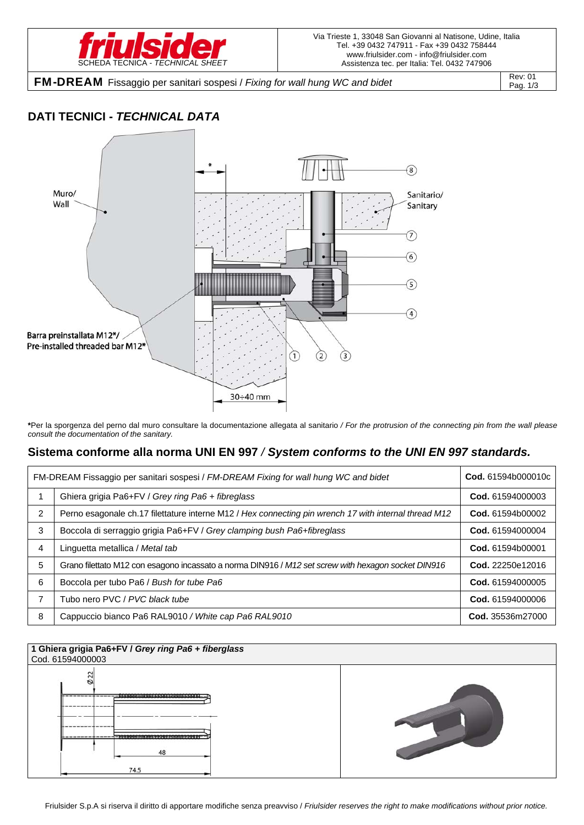

**FM-DREAM** Fissaggio per sanitari sospesi / *Fixing for wall hung WC and bidet* Rev: 01

Pag. 1/3

## **DATI TECNICI -** *TECHNICAL DATA*



**\***Per la sporgenza del perno dal muro consultare la documentazione allegata al sanitario */ For the protrusion of the connecting pin from the wall please consult the documentation of the sanitary.* 

## **Sistema conforme alla norma UNI EN 997** */ System conforms to the UNI EN 997 standards.*

| FM-DREAM Fissaggio per sanitari sospesi / FM-DREAM Fixing for wall hung WC and bidet |                                                                                                       | Cod. 61594b000010c |
|--------------------------------------------------------------------------------------|-------------------------------------------------------------------------------------------------------|--------------------|
|                                                                                      | Ghiera grigia Pa6+FV / Grey ring Pa6 + fibreglass                                                     | Cod. 61594000003   |
| $\overline{2}$                                                                       | Perno esagonale ch.17 filettature interne M12 / Hex connecting pin wrench 17 with internal thread M12 | Cod. 61594b00002   |
| 3                                                                                    | Boccola di serraggio grigia Pa6+FV / Grey clamping bush Pa6+fibreglass                                | Cod. 61594000004   |
| 4                                                                                    | Linguetta metallica / Metal tab                                                                       | Cod. 61594b00001   |
| 5                                                                                    | Grano filettato M12 con esagono incassato a norma DIN916 / M12 set screw with hexagon socket DIN916   | Cod. 22250e12016   |
| 6                                                                                    | Boccola per tubo Pa6 / Bush for tube Pa6                                                              | Cod. 61594000005   |
| 7                                                                                    | Tubo nero PVC / PVC black tube                                                                        | Cod. 61594000006   |
| 8                                                                                    | Cappuccio bianco Pa6 RAL9010 / White cap Pa6 RAL9010                                                  | Cod. 35536m27000   |

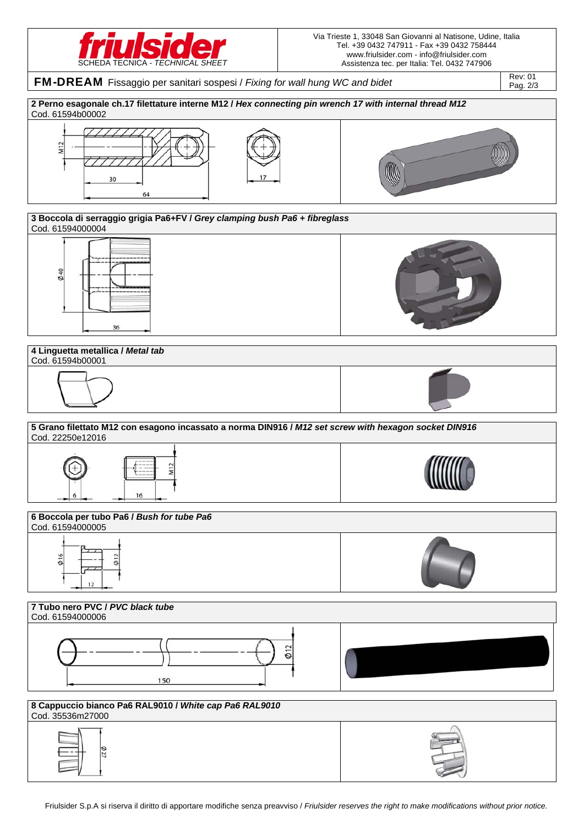

Via Trieste 1, 33048 San Giovanni al Natisone, Udine, Italia Tel. +39 0432 747911 - Fax +39 0432 758444 www.friulsider.com - info@friulsider.com Assistenza tec. per Italia: Tel. 0432 747906

FM-DREAM Fissaggio per sanitari sospesi / *Fixing for wall hung WC and bidet* Rev: 01 Pag. 2/3 **2 Perno esagonale ch.17 filettature interne M12 /** *Hex connecting pin wrench 17 with internal thread M12* Cod. 61594b00002 M<sub>12</sub>  $30$ 64 **3 Boccola di serraggio grigia Pa6+FV /** *Grey clamping bush Pa6 + fibreglass* Cod. 61594000004 040  $36$ **4 Linguetta metallica /** *Metal tab*  Cod. 61594b00001 **5 Grano filettato M12 con esagono incassato a norma DIN916 /** *M12 set screw with hexagon socket DIN916* Cod. 22250e12016 16 **6 Boccola per tubo Pa6 /** *Bush for tube Pa6* Cod. 61594000005  $\Phi$ 12 **7 Tubo nero PVC /** *PVC black tube* Cod. 61594000006  $\phi$  12 150 **8 Cappuccio bianco Pa6 RAL9010 /** *White cap Pa6 RAL9010* Cod. 35536m27000 $\frac{2}{2}$